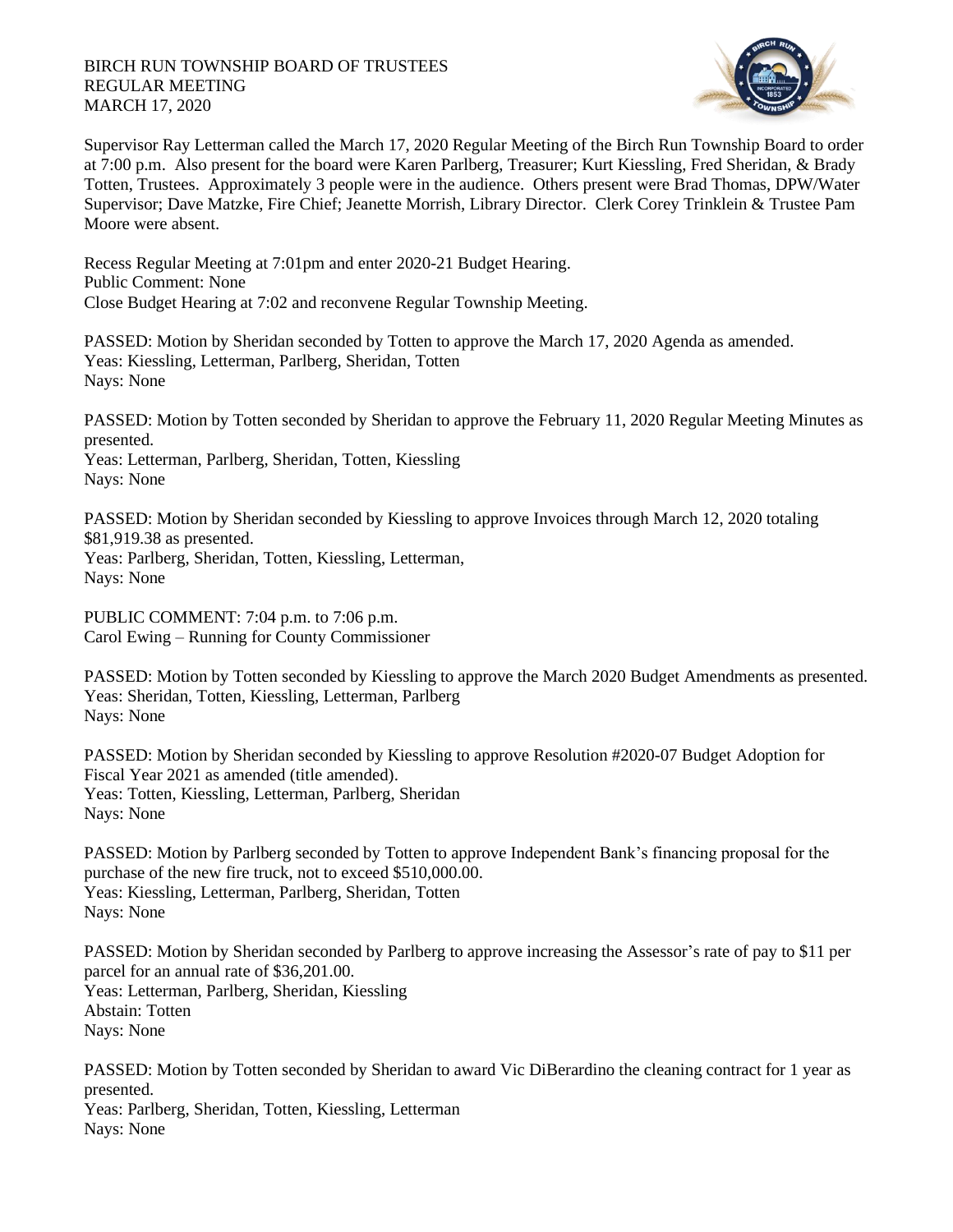## BIRCH RUN TOWNSHIP BOARD OF TRUSTEES REGULAR MEETING MARCH 17, 2020



Supervisor Ray Letterman called the March 17, 2020 Regular Meeting of the Birch Run Township Board to order at 7:00 p.m. Also present for the board were Karen Parlberg, Treasurer; Kurt Kiessling, Fred Sheridan, & Brady Totten, Trustees. Approximately 3 people were in the audience. Others present were Brad Thomas, DPW/Water Supervisor; Dave Matzke, Fire Chief; Jeanette Morrish, Library Director. Clerk Corey Trinklein & Trustee Pam Moore were absent.

Recess Regular Meeting at 7:01pm and enter 2020-21 Budget Hearing. Public Comment: None Close Budget Hearing at 7:02 and reconvene Regular Township Meeting.

PASSED: Motion by Sheridan seconded by Totten to approve the March 17, 2020 Agenda as amended. Yeas: Kiessling, Letterman, Parlberg, Sheridan, Totten Nays: None

PASSED: Motion by Totten seconded by Sheridan to approve the February 11, 2020 Regular Meeting Minutes as presented.

Yeas: Letterman, Parlberg, Sheridan, Totten, Kiessling Nays: None

PASSED: Motion by Sheridan seconded by Kiessling to approve Invoices through March 12, 2020 totaling \$81,919.38 as presented.

Yeas: Parlberg, Sheridan, Totten, Kiessling, Letterman, Nays: None

PUBLIC COMMENT: 7:04 p.m. to 7:06 p.m. Carol Ewing – Running for County Commissioner

PASSED: Motion by Totten seconded by Kiessling to approve the March 2020 Budget Amendments as presented. Yeas: Sheridan, Totten, Kiessling, Letterman, Parlberg Nays: None

PASSED: Motion by Sheridan seconded by Kiessling to approve Resolution #2020-07 Budget Adoption for Fiscal Year 2021 as amended (title amended). Yeas: Totten, Kiessling, Letterman, Parlberg, Sheridan Nays: None

PASSED: Motion by Parlberg seconded by Totten to approve Independent Bank's financing proposal for the purchase of the new fire truck, not to exceed \$510,000.00. Yeas: Kiessling, Letterman, Parlberg, Sheridan, Totten Nays: None

PASSED: Motion by Sheridan seconded by Parlberg to approve increasing the Assessor's rate of pay to \$11 per parcel for an annual rate of \$36,201.00. Yeas: Letterman, Parlberg, Sheridan, Kiessling Abstain: Totten Nays: None

PASSED: Motion by Totten seconded by Sheridan to award Vic DiBerardino the cleaning contract for 1 year as presented. Yeas: Parlberg, Sheridan, Totten, Kiessling, Letterman Nays: None